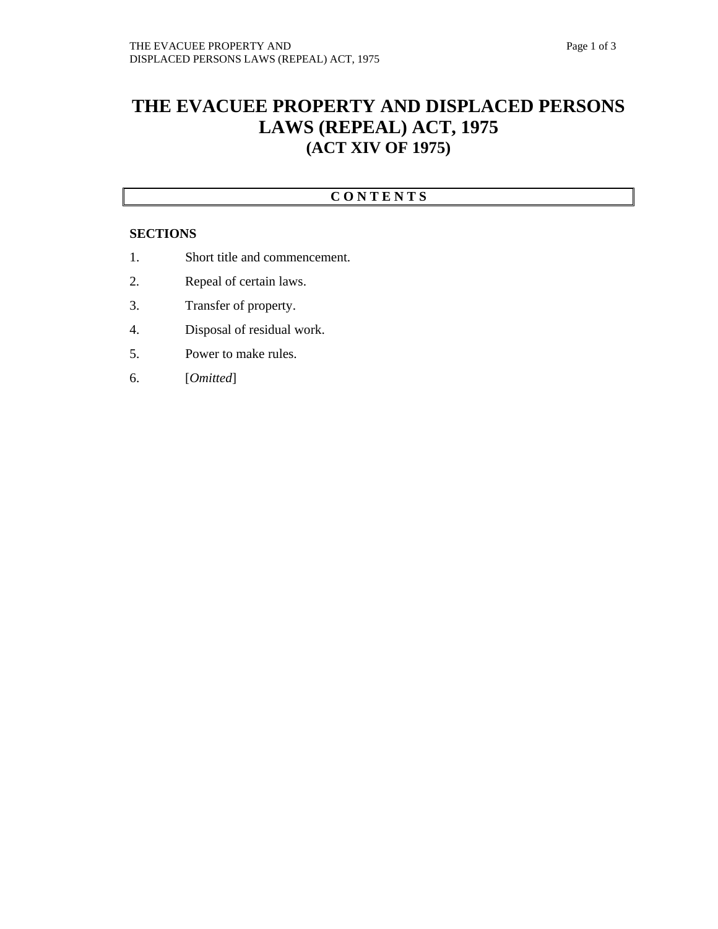# **THE EVACUEE PROPERTY AND DISPLACED PERSONS LAWS (REPEAL) ACT, 1975 (ACT XIV OF 1975)**

### **C O N T E N T S**

#### **SECTIONS**

- 1. Short title and commencement.
- 2. Repeal of certain laws.
- 3. Transfer of property.
- 4. Disposal of residual work.
- 5. Power to make rules.
- 6. [*Omitted*]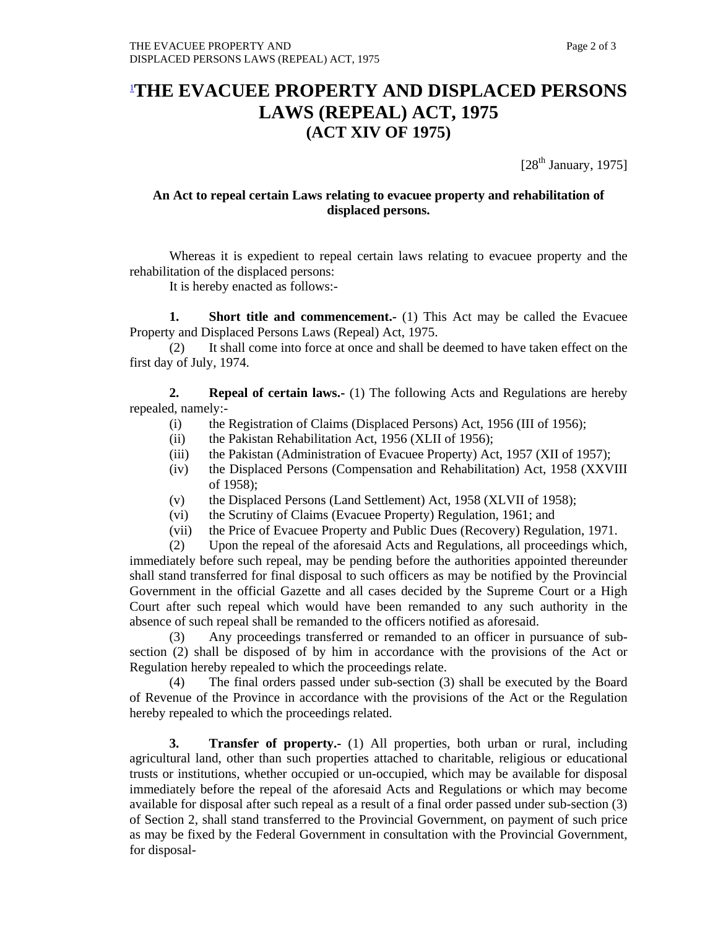## 1 **THE EVACUEE PROPERTY AND DISPLACED PERSONS LAWS (REPEAL) ACT, 1975 (ACT XIV OF 1975)**

 $[28<sup>th</sup> January, 1975]$ 

#### **An Act to repeal certain Laws relating to evacuee property and rehabilitation of displaced persons.**

Whereas it is expedient to repeal certain laws relating to evacuee property and the rehabilitation of the displaced persons:

It is hereby enacted as follows:-

**1.** Short title and commencement.- (1) This Act may be called the Evacuee Property and Displaced Persons Laws (Repeal) Act, 1975.

(2) It shall come into force at once and shall be deemed to have taken effect on the first day of July, 1974.

 **2. Repeal of certain laws.-** (1) The following Acts and Regulations are hereby repealed, namely:-

- (i) the Registration of Claims (Displaced Persons) Act, 1956 (III of 1956);
- (ii) the Pakistan Rehabilitation Act, 1956 (XLII of 1956);
- (iii) the Pakistan (Administration of Evacuee Property) Act, 1957 (XII of 1957);
- (iv) the Displaced Persons (Compensation and Rehabilitation) Act, 1958 (XXVIII of 1958);
- (v) the Displaced Persons (Land Settlement) Act, 1958 (XLVII of 1958);
- (vi) the Scrutiny of Claims (Evacuee Property) Regulation, 1961; and
- (vii) the Price of Evacuee Property and Public Dues (Recovery) Regulation, 1971.

 (2) Upon the repeal of the aforesaid Acts and Regulations, all proceedings which, immediately before such repeal, may be pending before the authorities appointed thereunder shall stand transferred for final disposal to such officers as may be notified by the Provincial Government in the official Gazette and all cases decided by the Supreme Court or a High Court after such repeal which would have been remanded to any such authority in the absence of such repeal shall be remanded to the officers notified as aforesaid.

 (3) Any proceedings transferred or remanded to an officer in pursuance of subsection (2) shall be disposed of by him in accordance with the provisions of the Act or Regulation hereby repealed to which the proceedings relate.

 (4) The final orders passed under sub-section (3) shall be executed by the Board of Revenue of the Province in accordance with the provisions of the Act or the Regulation hereby repealed to which the proceedings related.

**3. Transfer of property.-** (1) All properties, both urban or rural, including agricultural land, other than such properties attached to charitable, religious or educational trusts or institutions, whether occupied or un-occupied, which may be available for disposal immediately before the repeal of the aforesaid Acts and Regulations or which may become available for disposal after such repeal as a result of a final order passed under sub-section (3) of Section 2, shall stand transferred to the Provincial Government, on payment of such price as may be fixed by the Federal Government in consultation with the Provincial Government, for disposal-